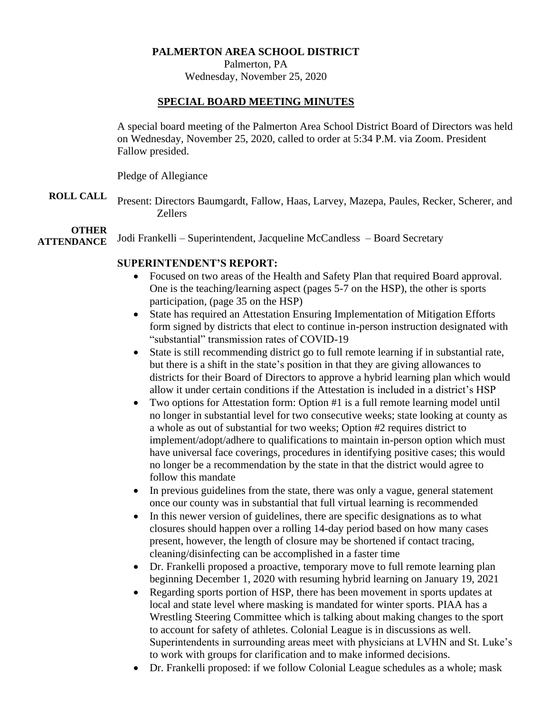#### **PALMERTON AREA SCHOOL DISTRICT**

Palmerton, PA

Wednesday, November 25, 2020

#### **SPECIAL BOARD MEETING MINUTES**

A special board meeting of the Palmerton Area School District Board of Directors was held on Wednesday, November 25, 2020, called to order at 5:34 P.M. via Zoom. President Fallow presided.

Pledge of Allegiance

**ROLL CALL** Present: Directors Baumgardt, Fallow, Haas, Larvey, Mazepa, Paules, Recker, Scherer, and Zellers

## **OTHER**

**ATTENDANCE** Jodi Frankelli – Superintendent, Jacqueline McCandless – Board Secretary

## **SUPERINTENDENT'S REPORT:**

- Focused on two areas of the Health and Safety Plan that required Board approval. One is the teaching/learning aspect (pages 5-7 on the HSP), the other is sports participation, (page 35 on the HSP)
- State has required an Attestation Ensuring Implementation of Mitigation Efforts form signed by districts that elect to continue in-person instruction designated with "substantial" transmission rates of COVID-19
- State is still recommending district go to full remote learning if in substantial rate, but there is a shift in the state's position in that they are giving allowances to districts for their Board of Directors to approve a hybrid learning plan which would allow it under certain conditions if the Attestation is included in a district's HSP
- Two options for Attestation form: Option #1 is a full remote learning model until no longer in substantial level for two consecutive weeks; state looking at county as a whole as out of substantial for two weeks; Option #2 requires district to implement/adopt/adhere to qualifications to maintain in-person option which must have universal face coverings, procedures in identifying positive cases; this would no longer be a recommendation by the state in that the district would agree to follow this mandate
- In previous guidelines from the state, there was only a vague, general statement once our county was in substantial that full virtual learning is recommended
- In this newer version of guidelines, there are specific designations as to what closures should happen over a rolling 14-day period based on how many cases present, however, the length of closure may be shortened if contact tracing, cleaning/disinfecting can be accomplished in a faster time
- Dr. Frankelli proposed a proactive, temporary move to full remote learning plan beginning December 1, 2020 with resuming hybrid learning on January 19, 2021
- Regarding sports portion of HSP, there has been movement in sports updates at local and state level where masking is mandated for winter sports. PIAA has a Wrestling Steering Committee which is talking about making changes to the sport to account for safety of athletes. Colonial League is in discussions as well. Superintendents in surrounding areas meet with physicians at LVHN and St. Luke's to work with groups for clarification and to make informed decisions.
- Dr. Frankelli proposed: if we follow Colonial League schedules as a whole; mask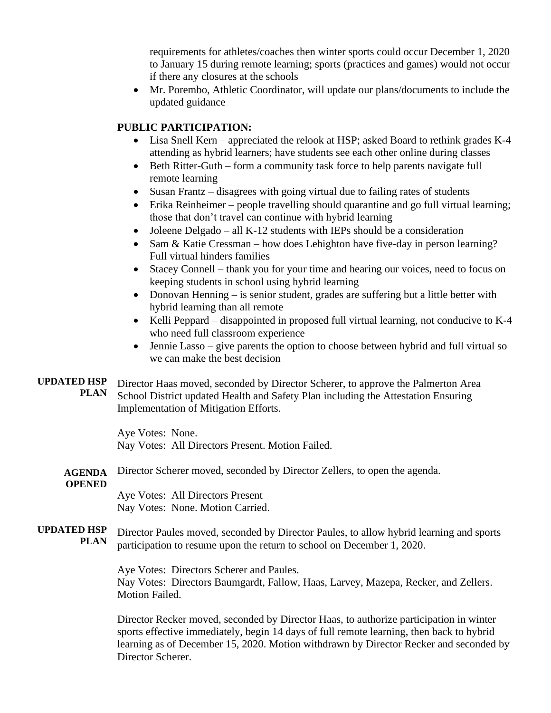requirements for athletes/coaches then winter sports could occur December 1, 2020 to January 15 during remote learning; sports (practices and games) would not occur if there any closures at the schools

• Mr. Porembo, Athletic Coordinator, will update our plans/documents to include the updated guidance

## **PUBLIC PARTICIPATION:**

- Lisa Snell Kern appreciated the relook at HSP; asked Board to rethink grades K-4 attending as hybrid learners; have students see each other online during classes
- Beth Ritter-Guth form a community task force to help parents navigate full remote learning
- Susan Frantz disagrees with going virtual due to failing rates of students
- Erika Reinheimer people travelling should quarantine and go full virtual learning; those that don't travel can continue with hybrid learning
- Joleene Delgado all K-12 students with IEPs should be a consideration
- Sam & Katie Cressman how does Lehighton have five-day in person learning? Full virtual hinders families
- Stacey Connell thank you for your time and hearing our voices, need to focus on keeping students in school using hybrid learning
- Donovan Henning is senior student, grades are suffering but a little better with hybrid learning than all remote
- Kelli Peppard disappointed in proposed full virtual learning, not conducive to K-4 who need full classroom experience
- Jennie Lasso give parents the option to choose between hybrid and full virtual so we can make the best decision
- **UPDATED HSP PLAN** Director Haas moved, seconded by Director Scherer, to approve the Palmerton Area School District updated Health and Safety Plan including the Attestation Ensuring Implementation of Mitigation Efforts.

Aye Votes: None. Nay Votes: All Directors Present. Motion Failed.

**AGENDA**  Director Scherer moved, seconded by Director Zellers, to open the agenda.

# **OPENED**

Aye Votes: All Directors Present Nay Votes: None. Motion Carried.

**UPDATED HSP PLAN** Director Paules moved, seconded by Director Paules, to allow hybrid learning and sports participation to resume upon the return to school on December 1, 2020.

> Aye Votes: Directors Scherer and Paules. Nay Votes: Directors Baumgardt, Fallow, Haas, Larvey, Mazepa, Recker, and Zellers. Motion Failed.

Director Recker moved, seconded by Director Haas, to authorize participation in winter sports effective immediately, begin 14 days of full remote learning, then back to hybrid learning as of December 15, 2020. Motion withdrawn by Director Recker and seconded by Director Scherer.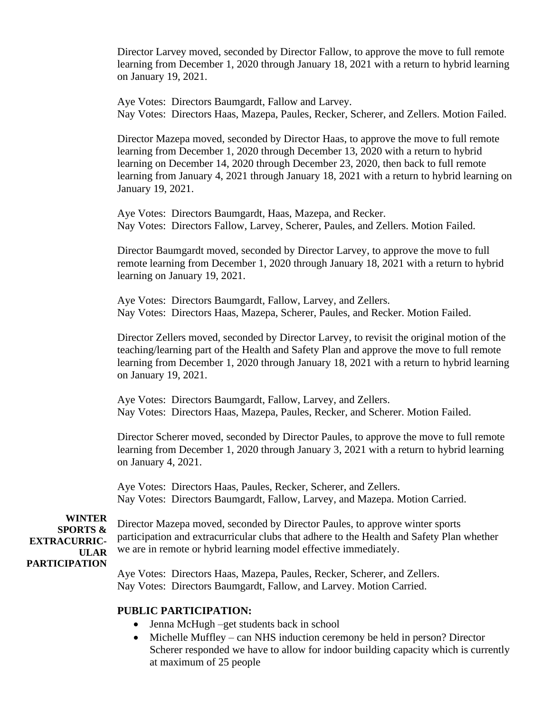Director Larvey moved, seconded by Director Fallow, to approve the move to full remote learning from December 1, 2020 through January 18, 2021 with a return to hybrid learning on January 19, 2021.

Aye Votes: Directors Baumgardt, Fallow and Larvey.

Nay Votes: Directors Haas, Mazepa, Paules, Recker, Scherer, and Zellers. Motion Failed.

Director Mazepa moved, seconded by Director Haas, to approve the move to full remote learning from December 1, 2020 through December 13, 2020 with a return to hybrid learning on December 14, 2020 through December 23, 2020, then back to full remote learning from January 4, 2021 through January 18, 2021 with a return to hybrid learning on January 19, 2021.

Aye Votes: Directors Baumgardt, Haas, Mazepa, and Recker. Nay Votes: Directors Fallow, Larvey, Scherer, Paules, and Zellers. Motion Failed.

Director Baumgardt moved, seconded by Director Larvey, to approve the move to full remote learning from December 1, 2020 through January 18, 2021 with a return to hybrid learning on January 19, 2021.

Aye Votes: Directors Baumgardt, Fallow, Larvey, and Zellers. Nay Votes: Directors Haas, Mazepa, Scherer, Paules, and Recker. Motion Failed.

Director Zellers moved, seconded by Director Larvey, to revisit the original motion of the teaching/learning part of the Health and Safety Plan and approve the move to full remote learning from December 1, 2020 through January 18, 2021 with a return to hybrid learning on January 19, 2021.

Aye Votes: Directors Baumgardt, Fallow, Larvey, and Zellers. Nay Votes: Directors Haas, Mazepa, Paules, Recker, and Scherer. Motion Failed.

Director Scherer moved, seconded by Director Paules, to approve the move to full remote learning from December 1, 2020 through January 3, 2021 with a return to hybrid learning on January 4, 2021.

Aye Votes: Directors Haas, Paules, Recker, Scherer, and Zellers. Nay Votes: Directors Baumgardt, Fallow, Larvey, and Mazepa. Motion Carried.

**WINTER SPORTS & EXTRACURRIC-ULAR PARTICIPATION**

Director Mazepa moved, seconded by Director Paules, to approve winter sports participation and extracurricular clubs that adhere to the Health and Safety Plan whether we are in remote or hybrid learning model effective immediately.

Aye Votes: Directors Haas, Mazepa, Paules, Recker, Scherer, and Zellers. Nay Votes: Directors Baumgardt, Fallow, and Larvey. Motion Carried.

#### **PUBLIC PARTICIPATION:**

- Jenna McHugh –get students back in school
- Michelle Muffley can NHS induction ceremony be held in person? Director Scherer responded we have to allow for indoor building capacity which is currently at maximum of 25 people